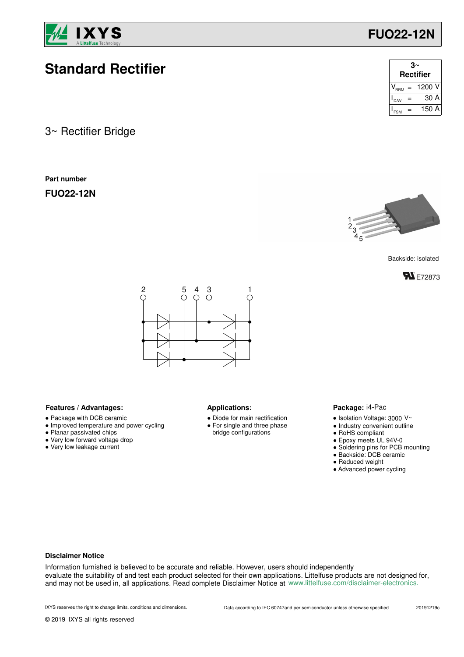

# **Standard Rectifier**

3~ Rectifier Bridge

**Part number**

**FUO22-12N**

| <b>Rectifier</b> |  |            |  |  |
|------------------|--|------------|--|--|
|                  |  | $= 1200 V$ |  |  |
| DAV              |  | 30 A       |  |  |
|                  |  | 150 A      |  |  |

**FUO22-12N**



Backside: isolated





### Features / Advantages: **All Applications: Applications:**

- Package with DCB ceramic
- Improved temperature and power cycling
- Planar passivated chips
- Very low forward voltage drop
- Very low leakage current

- Diode for main rectification ● For single and three phase
- bridge configurations

#### Package: i4-Pac

- $\bullet$  Isolation Voltage: 3000 V~
- Industry convenient outline
- RoHS compliant
- Epoxy meets UL 94V-0
- Soldering pins for PCB mounting
- Backside: DCB ceramic
- Reduced weight
- Advanced power cycling

#### **Disclaimer Notice**

Information furnished is believed to be accurate and reliable. However, users should independently evaluate the suitability of and test each product selected for their own applications. Littelfuse products are not designed for, and may not be used in, all applications. Read complete Disclaimer Notice at www.littelfuse.com/disclaimer-electronics.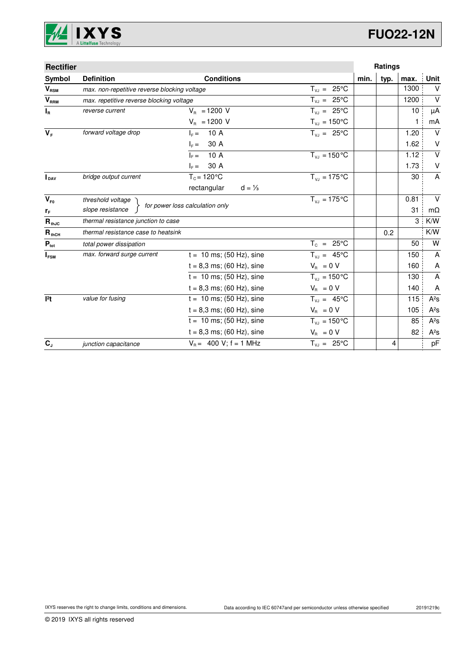

| <b>Rectifier</b> |                                              |                                  |                            | <b>Ratings</b> |      |              |           |
|------------------|----------------------------------------------|----------------------------------|----------------------------|----------------|------|--------------|-----------|
| Symbol           | <b>Definition</b>                            | <b>Conditions</b>                |                            | min.           | typ. | max.         | Unit      |
| $V_{\text{RSM}}$ | max. non-repetitive reverse blocking voltage |                                  | $T_{VJ} = 25^{\circ}C$     |                |      | 1300         | $\vee$    |
| V <sub>RRM</sub> | max. repetitive reverse blocking voltage     |                                  | $T_{V,I} = 25^{\circ}C$    |                |      | 1200         | $\vee$    |
| $I_R$            | reverse current                              | $V_{B}$ = 1200 V                 | $T_{VJ} = 25^{\circ}C$     |                |      | 10           | μA        |
|                  |                                              | $V_{\rm B} = 1200$ V             | $T_{\nu J} = 150^{\circ}C$ |                |      | $\mathbf{1}$ | mA        |
| $V_F$            | forward voltage drop                         | 10 A<br>$I_F =$                  | $T_{V,1} = 25^{\circ}C$    |                |      | 1.20         | $\vee$    |
|                  |                                              | 30 A<br>$I_F =$                  |                            |                |      | 1.62         | $\vee$    |
|                  |                                              | 10 A<br>$IE =$                   | $T_{VJ} = 150 °C$          |                |      | 1.12         | $\vee$    |
|                  |                                              | 30 A<br>$\vert_{\varepsilon} =$  |                            |                |      | 1.73         | $\sf V$   |
| <b>I</b> DAV     | bridge output current                        | $T_c = 120$ °C                   | $T_{V1} = 175$ °C          |                |      | 30           | A         |
|                  |                                              | rectangular<br>$d = \frac{1}{3}$ |                            |                |      |              |           |
| $V_{F0}$         | threshold voltage                            |                                  | $T_{V1} = 175$ °C          |                |      | 0.81         | $\vee$    |
| $r_F$            | slope resistance                             | for power loss calculation only  |                            |                |      | 31           | $m\Omega$ |
| $R_{thJC}$       | thermal resistance junction to case          |                                  |                            |                |      | 3            | K/W       |
| $R_{thCH}$       | thermal resistance case to heatsink          |                                  |                            |                | 0.2  |              | K/W       |
| $P_{\text{tot}}$ | total power dissipation                      |                                  | $T_c = 25^{\circ}$ C       |                |      | 50           | W         |
| $I_{FSM}$        | max. forward surge current                   | $t = 10$ ms; (50 Hz), sine       | $T_{VJ} = 45^{\circ}C$     |                |      | 150          | A         |
|                  |                                              | $t = 8,3$ ms; (60 Hz), sine      | $V_R = 0 V$                |                |      | 160          | A         |
|                  |                                              | $t = 10$ ms; (50 Hz), sine       | $T_{VJ} = 150^{\circ}C$    |                |      | 130          | A         |
|                  |                                              | $t = 8,3$ ms; (60 Hz), sine      | $V_{\rm R} = 0 V$          |                |      | 140          | A         |
| 12t              | value for fusing                             | $t = 10$ ms; (50 Hz), sine       | $T_{VJ} = 45^{\circ}C$     |                |      | 115          | $A^2S$    |
|                  |                                              | $t = 8,3$ ms; (60 Hz), sine      | $V_R = 0 V$                |                |      | 105          | $A^2S$    |
|                  |                                              | $t = 10$ ms; (50 Hz), sine       | $T_{VJ} = 150^{\circ}C$    |                |      | 85           | $A^2S$    |
|                  |                                              | $t = 8.3$ ms; (60 Hz), sine      | $V_{\rm B} = 0$ V          |                |      | 82           | $A^2S$    |
| $C_{J}$          | junction capacitance                         | $V_B = 400 V$ ; f = 1 MHz        | $T_{V,1} = 25^{\circ}C$    |                | 4    |              | pF        |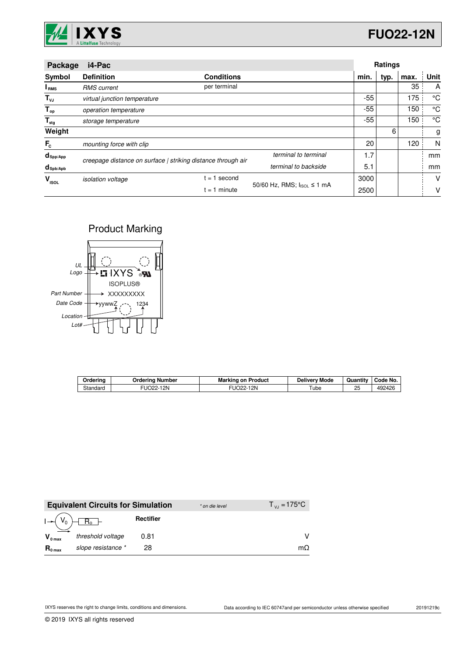

| Package                 | i4-Pac                                                       |                   |                            |       | Ratings |      |             |
|-------------------------|--------------------------------------------------------------|-------------------|----------------------------|-------|---------|------|-------------|
| Symbol                  | <b>Definition</b>                                            | <b>Conditions</b> |                            | min.  | typ.    | max. | Unit        |
| I <sub>RMS</sub>        | <b>RMS</b> current                                           | per terminal      |                            |       |         | 35   | A           |
| $T_{\nu J}$             | virtual junction temperature                                 |                   |                            | -55   |         | 175  | °C          |
| $T_{op}$                | operation temperature                                        |                   |                            | $-55$ |         | 150  | $^{\circ}C$ |
| $\mathsf{T}_{\sf{stg}}$ | storage temperature                                          |                   |                            | $-55$ |         | 150  | $^{\circ}C$ |
| Weight                  |                                                              |                   |                            |       | 6       |      | g           |
| $F_c$                   | mounting force with clip                                     |                   |                            | 20    |         | 120  | N           |
| $d_{\mathsf{Spp/App}}$  | creepage distance on surface   striking distance through air |                   | terminal to terminal       | 1.7   |         |      | mm          |
| $d_{\text{Spb/Apb}}$    |                                                              |                   | terminal to backside       |       |         |      | mm          |
| v<br><b>ISOL</b>        | <i>isolation</i> voltage                                     | second<br>$= 1$   |                            | 3000  |         |      | V           |
|                         |                                                              | $= 1$ minute      | 50/60 Hz, RMS; IsoL ≤ 1 mA | 2500  |         |      | v           |

### Product Marking



| Orderino | Ordering Number | <b>Marking on Product</b> | <b>Delivery Mode</b> | Quantity | Code No. |
|----------|-----------------|---------------------------|----------------------|----------|----------|
| Standard | 12N<br>UO22-    | 12N<br>`O22- .            | ube                  | 25       | 492426   |

|                     | <b>Equivalent Circuits for Simulation</b> |           | * on die level | $T_{V1} = 175^{\circ}C$ |
|---------------------|-------------------------------------------|-----------|----------------|-------------------------|
|                     | $I \rightarrow (V_0) + R_0$               | Rectifier |                |                         |
| $V_{0 \text{ max}}$ | threshold voltage                         | 0.81      |                |                         |
| $R_{0 \text{ max}}$ | slope resistance *                        | 28        |                | mΩ                      |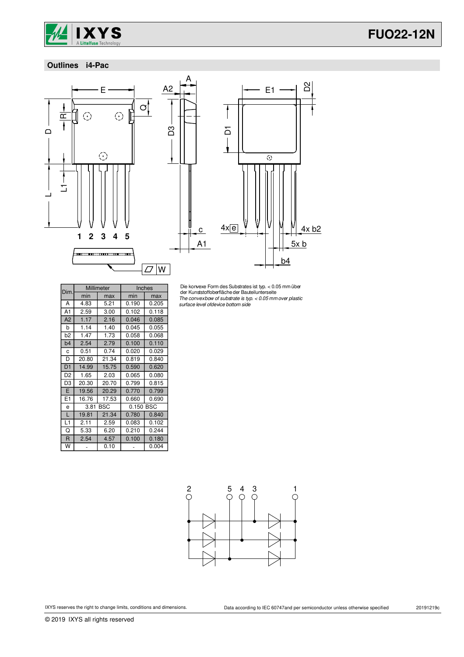

## **FUO22-12N**

### **Outlines i4-Pac**



D3



Die konvexe Form des Substrates ist typ. < 0.05 mm über der Kunststoffoberflächeder Bauteilunterseite The convexbow of substrate is typ. < 0.05 mmover plastic surface level ofdevice bottom side

| Dim            |       | Millimeter | Inches    |       |
|----------------|-------|------------|-----------|-------|
|                | min   | max        | min       | max   |
| А              | 4.83  | 5.21       | 0.190     | 0.205 |
| A1             | 2.59  | 3.00       | 0.102     | 0.118 |
| A <sub>2</sub> | 1.17  | 2.16       | 0.046     | 0.085 |
| b              | 1.14  | 1.40       | 0.045     | 0.055 |
| b2             | 1.47  | 1.73       | 0.058     | 0.068 |
| b <sub>4</sub> | 2.54  | 2.79       | 0.100     | 0.110 |
| C              | 0.51  | 0.74       | 0.020     | 0.029 |
| D              | 20.80 | 21.34      | 0.819     | 0.840 |
| D <sub>1</sub> | 14.99 | 15.75      | 0.590     | 0.620 |
| D <sub>2</sub> | 1.65  | 2.03       | 0.065     | 0.080 |
| D3             | 20.30 | 20.70      | 0.799     | 0.815 |
| E              | 19.56 | 20.29      | 0.770     | 0.799 |
| E1             | 16.76 | 17.53      | 0.660     | 0.690 |
| e              | 3.81  | BSC        | 0.150 BSC |       |
| L              | 19.81 | 21.34      | 0.780     | 0.840 |
| L1             | 2.11  | 2.59       | 0.083     | 0.102 |
| Q              | 5.33  | 6.20       | 0.210     | 0.244 |
| $\mathsf{R}$   | 2.54  | 4.57       | 0.100     | 0.180 |
| W              |       | 0.10       |           | 0.004 |